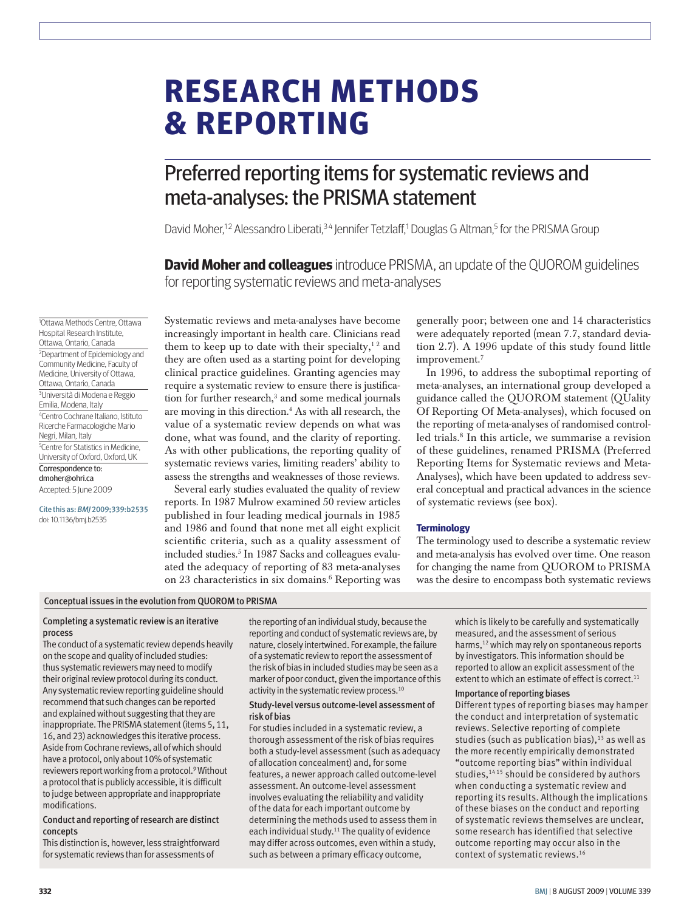# **research methods & reporting**

## Preferred reporting items for systematic reviews and meta-analyses: the PRISMA statement

David Moher,<sup>12</sup> Alessandro Liberati,<sup>34</sup> Jennifer Tetzlaff,<sup>1</sup> Douglas G Altman,<sup>5</sup> for the PRISMA Group

**David Moher and colleagues** introduce PRISMA, an update of the QUOROM guidelines for reporting systematic reviews and meta-analyses

1 Ottawa Methods Centre, Ottawa Hospital Research Institute, Ottawa, Ontario, Canada 2 Department of Epidemiology and Community Medicine, Faculty of Medicine, University of Ottawa, Ottawa, Ontario, Canada 3 Università di Modena e Reggio Emilia, Modena, Italy 4 Centro Cochrane Italiano, Istituto Ricerche Farmacologiche Mario Negri, Milan, Italy 5 Centre for Statistics in Medicine, University of Oxford, Oxford, UK Correspondence to: dmoher@ohri.ca

Accepted: 5 June 2009

Cite this as: *BMJ* 2009;339:b2535 doi: 10.1136/bmj.b2535

Systematic reviews and meta-analyses have become increasingly important in health care. Clinicians read them to keep up to date with their specialty,<sup>12</sup> and they are often used as a starting point for developing clinical practice guidelines. Granting agencies may require a systematic review to ensure there is justification for further research,<sup>3</sup> and some medical journals are moving in this direction.4 As with all research, the value of a systematic review depends on what was done, what was found, and the clarity of reporting. As with other publications, the reporting quality of systematic reviews varies, limiting readers' ability to assess the strengths and weaknesses of those reviews.

Several early studies evaluated the quality of review reports. In 1987 Mulrow examined 50 review articles published in four leading medical journals in 1985 and 1986 and found that none met all eight explicit scientific criteria, such as a quality assessment of included studies.5 In 1987 Sacks and colleagues evaluated the adequacy of reporting of 83 meta-analyses on 23 characteristics in six domains.<sup>6</sup> Reporting was

generally poor; between one and 14 characteristics were adequately reported (mean 7.7, standard deviation 2.7). A 1996 update of this study found little improvement.7

In 1996, to address the suboptimal reporting of meta-analyses, an international group developed a guidance called the QUOROM statement (QUality Of Reporting Of Meta-analyses), which focused on the reporting of meta-analyses of randomised controlled trials.<sup>8</sup> In this article, we summarise a revision of these guidelines, renamed PRISMA (Preferred Reporting Items for Systematic reviews and Meta-Analyses), which have been updated to address several conceptual and practical advances in the science of systematic reviews (see box).

#### **Terminology**

The terminology used to describe a systematic review and meta-analysis has evolved over time. One reason for changing the name from QUOROM to PRISMA was the desire to encompass both systematic reviews

#### Conceptual issues in the evolution from QUOROM to PRISMA

#### Completing a systematic review is an iterative process

The conduct of a systematic review depends heavily on the scope and quality of included studies: thus systematic reviewers may need to modify their original review protocol during its conduct. Any systematic review reporting guideline should recommend that such changes can be reported and explained without suggesting that they are inappropriate. The PRISMA statement (items 5, 11, 16, and 23) acknowledges this iterative process. Aside from Cochrane reviews, all of which should have a protocol, only about 10% of systematic reviewers report working from a protocol.<sup>9</sup> Without a protocol that is publicly accessible, it is difficult to judge between appropriate and inappropriate modifications.

#### Conduct and reporting of research are distinct concepts

This distinction is, however, less straightforward for systematic reviews than for assessments of

the reporting of an individual study, because the reporting and conduct of systematic reviews are, by nature, closely intertwined. For example, the failure of a systematic review to report the assessment of the risk of bias in included studies may be seen as a marker of poor conduct, given the importance of this activity in the systematic review process.<sup>10</sup>

#### Study-level versus outcome-level assessment of risk of bias

For studies included in a systematic review, a thorough assessment of the risk of bias requires both a study-level assessment (such as adequacy of allocation concealment) and, for some features, a newer approach called outcome-level assessment. An outcome-level assessment involves evaluating the reliability and validity of the data for each important outcome by determining the methods used to assess them in each individual study.<sup>11</sup> The quality of evidence may differ across outcomes, even within a study, such as between a primary efficacy outcome,

which is likely to be carefully and systematically measured, and the assessment of serious harms,<sup>12</sup> which may rely on spontaneous reports by investigators. This information should be reported to allow an explicit assessment of the extent to which an estimate of effect is correct.<sup>11</sup>

#### Importance of reporting biases

Different types of reporting biases may hamper the conduct and interpretation of systematic reviews. Selective reporting of complete studies (such as publication bias), $13$  as well as the more recently empirically demonstrated "outcome reporting bias" within individual studies,<sup>1415</sup> should be considered by authors when conducting a systematic review and reporting its results. Although the implications of these biases on the conduct and reporting of systematic reviews themselves are unclear, some research has identified that selective outcome reporting may occur also in the context of systematic reviews.16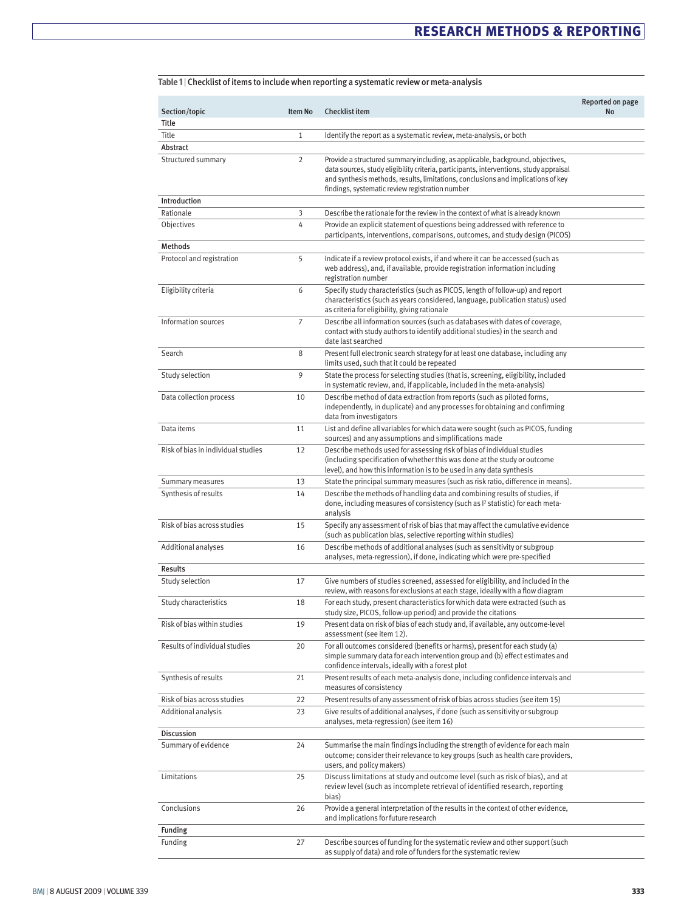| Section/topic                      | <b>Item No</b> | <b>Checklist item</b>                                                                                                                                                                                                                                                                                           | Reported on page<br><b>No</b> |
|------------------------------------|----------------|-----------------------------------------------------------------------------------------------------------------------------------------------------------------------------------------------------------------------------------------------------------------------------------------------------------------|-------------------------------|
| Title                              |                |                                                                                                                                                                                                                                                                                                                 |                               |
| Title                              | $\mathbf{1}$   | Identify the report as a systematic review, meta-analysis, or both                                                                                                                                                                                                                                              |                               |
| Abstract                           |                |                                                                                                                                                                                                                                                                                                                 |                               |
| Structured summary                 | $\overline{2}$ | Provide a structured summary including, as applicable, background, objectives,<br>data sources, study eligibility criteria, participants, interventions, study appraisal<br>and synthesis methods, results, limitations, conclusions and implications of key<br>findings, systematic review registration number |                               |
| Introduction                       |                |                                                                                                                                                                                                                                                                                                                 |                               |
| Rationale                          | 3              | Describe the rationale for the review in the context of what is already known                                                                                                                                                                                                                                   |                               |
| Objectives                         | 4              | Provide an explicit statement of questions being addressed with reference to<br>participants, interventions, comparisons, outcomes, and study design (PICOS)                                                                                                                                                    |                               |
| Methods                            |                |                                                                                                                                                                                                                                                                                                                 |                               |
| Protocol and registration          | 5              | Indicate if a review protocol exists, if and where it can be accessed (such as<br>web address), and, if available, provide registration information including<br>registration number                                                                                                                            |                               |
| Eligibility criteria               | 6              | Specify study characteristics (such as PICOS, length of follow-up) and report<br>characteristics (such as years considered, language, publication status) used<br>as criteria for eligibility, giving rationale                                                                                                 |                               |
| Information sources                | 7              | Describe all information sources (such as databases with dates of coverage,<br>contact with study authors to identify additional studies) in the search and<br>date last searched                                                                                                                               |                               |
| Search                             | 8              | Present full electronic search strategy for at least one database, including any<br>limits used, such that it could be repeated                                                                                                                                                                                 |                               |
| Study selection                    | 9              | State the process for selecting studies (that is, screening, eligibility, included<br>in systematic review, and, if applicable, included in the meta-analysis)                                                                                                                                                  |                               |
| Data collection process            | 10             | Describe method of data extraction from reports (such as piloted forms,<br>independently, in duplicate) and any processes for obtaining and confirming<br>data from investigators                                                                                                                               |                               |
| Data items                         | 11             | List and define all variables for which data were sought (such as PICOS, funding<br>sources) and any assumptions and simplifications made                                                                                                                                                                       |                               |
| Risk of bias in individual studies | 12             | Describe methods used for assessing risk of bias of individual studies<br>(including specification of whether this was done at the study or outcome<br>level), and how this information is to be used in any data synthesis                                                                                     |                               |
| Summary measures                   | 13             | State the principal summary measures (such as risk ratio, difference in means).                                                                                                                                                                                                                                 |                               |
| Synthesis of results               | 14             | Describe the methods of handling data and combining results of studies, if<br>done, including measures of consistency (such as $I^2$ statistic) for each meta-<br>analysis                                                                                                                                      |                               |
| Risk of bias across studies        | 15             | Specify any assessment of risk of bias that may affect the cumulative evidence<br>(such as publication bias, selective reporting within studies)                                                                                                                                                                |                               |
| Additional analyses                | 16             | Describe methods of additional analyses (such as sensitivity or subgroup<br>analyses, meta-regression), if done, indicating which were pre-specified                                                                                                                                                            |                               |
| Results                            |                |                                                                                                                                                                                                                                                                                                                 |                               |
| Study selection                    | 17             | Give numbers of studies screened, assessed for eligibility, and included in the<br>review, with reasons for exclusions at each stage, ideally with a flow diagram                                                                                                                                               |                               |
| Study characteristics              | 18             | For each study, present characteristics for which data were extracted (such as<br>study size, PICOS, follow-up period) and provide the citations                                                                                                                                                                |                               |
| Risk of bias within studies        | 19             | Present data on risk of bias of each study and, if available, any outcome-level<br>assessment (see item 12).                                                                                                                                                                                                    |                               |
| Results of individual studies      | 20             | For all outcomes considered (benefits or harms), present for each study (a)<br>simple summary data for each intervention group and (b) effect estimates and<br>confidence intervals, ideally with a forest plot                                                                                                 |                               |
| Synthesis of results               | 21             | Present results of each meta-analysis done, including confidence intervals and<br>measures of consistency                                                                                                                                                                                                       |                               |
| Risk of bias across studies        | 22             | Present results of any assessment of risk of bias across studies (see item 15)                                                                                                                                                                                                                                  |                               |
| Additional analysis                | 23             | Give results of additional analyses, if done (such as sensitivity or subgroup<br>analyses, meta-regression) (see item 16)                                                                                                                                                                                       |                               |
| Discussion                         |                |                                                                                                                                                                                                                                                                                                                 |                               |
| Summary of evidence                | 24             | Summarise the main findings including the strength of evidence for each main<br>outcome; consider their relevance to key groups (such as health care providers,<br>users, and policy makers)                                                                                                                    |                               |
| Limitations                        | 25             | Discuss limitations at study and outcome level (such as risk of bias), and at<br>review level (such as incomplete retrieval of identified research, reporting<br>bias)                                                                                                                                          |                               |
| Conclusions                        | 26             | Provide a general interpretation of the results in the context of other evidence,<br>and implications for future research                                                                                                                                                                                       |                               |
| Funding                            |                |                                                                                                                                                                                                                                                                                                                 |                               |
| Funding                            | 27             | Describe sources of funding for the systematic review and other support (such<br>as supply of data) and role of funders for the systematic review                                                                                                                                                               |                               |

#### **Table 1** | Checklist of items to include when reporting a systematic review or meta-analysis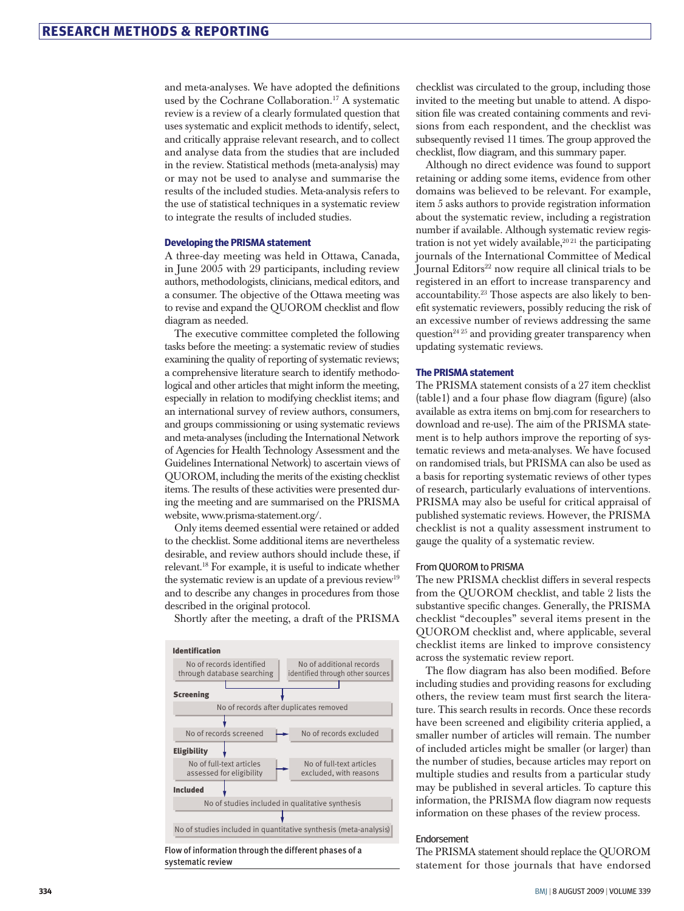and meta-analyses. We have adopted the definitions used by the Cochrane Collaboration.<sup>17</sup> A systematic review is a review of a clearly formulated question that uses systematic and explicit methods to identify, select, and critically appraise relevant research, and to collect and analyse data from the studies that are included in the review. Statistical methods (meta-analysis) may or may not be used to analyse and summarise the results of the included studies. Meta-analysis refers to the use of statistical techniques in a systematic review to integrate the results of included studies.

#### **Developing the PRISMA statement**

A three-day meeting was held in Ottawa, Canada, in June 2005 with 29 participants, including review authors, methodologists, clinicians, medical editors, and a consumer. The objective of the Ottawa meeting was to revise and expand the QUOROM checklist and flow diagram as needed.

The executive committee completed the following tasks before the meeting: a systematic review of studies examining the quality of reporting of systematic reviews; a comprehensive literature search to identify methodological and other articles that might inform the meeting, especially in relation to modifying checklist items; and an international survey of review authors, consumers, and groups commissioning or using systematic reviews and meta-analyses (including the International Network of Agencies for Health Technology Assessment and the Guidelines International Network) to ascertain views of QUOROM, including the merits of the existing checklist items. The results of these activities were presented during the meeting and are summarised on the PRISMA website, www.prisma-statement.org/.

Only items deemed essential were retained or added to the checklist. Some additional items are nevertheless desirable, and review authors should include these, if relevant.18 For example, it is useful to indicate whether the systematic review is an update of a previous review<sup>19</sup> and to describe any changes in procedures from those described in the original protocol.



Shortly after the meeting, a draft of the PRISMA

checklist was circulated to the group, including those invited to the meeting but unable to attend. A disposition file was created containing comments and revisions from each respondent, and the checklist was subsequently revised 11 times. The group approved the checklist, flow diagram, and this summary paper.

Although no direct evidence was found to support retaining or adding some items, evidence from other domains was believed to be relevant. For example, item 5 asks authors to provide registration information about the systematic review, including a registration number if available. Although systematic review registration is not yet widely available,<sup>2021</sup> the participating journals of the International Committee of Medical Journal Editors<sup>22</sup> now require all clinical trials to be registered in an effort to increase transparency and accountability.23 Those aspects are also likely to benefit systematic reviewers, possibly reducing the risk of an excessive number of reviews addressing the same question $24\,25$  and providing greater transparency when updating systematic reviews.

#### **The PRISMA statement**

The PRISMA statement consists of a 27 item checklist (table1) and a four phase flow diagram (figure) (also available as extra items on bmj.com for researchers to download and re-use). The aim of the PRISMA statement is to help authors improve the reporting of systematic reviews and meta-analyses. We have focused on randomised trials, but PRISMA can also be used as a basis for reporting systematic reviews of other types of research, particularly evaluations of interventions. PRISMA may also be useful for critical appraisal of published systematic reviews. However, the PRISMA checklist is not a quality assessment instrument to gauge the quality of a systematic review.

#### From QUOROM to PRISMA

The new PRISMA checklist differs in several respects from the QUOROM checklist, and table 2 lists the substantive specific changes. Generally, the PRISMA checklist "decouples" several items present in the QUOROM checklist and, where applicable, several checklist items are linked to improve consistency across the systematic review report.

The flow diagram has also been modified. Before including studies and providing reasons for excluding others, the review team must first search the literature. This search results in records. Once these records have been screened and eligibility criteria applied, a smaller number of articles will remain. The number of included articles might be smaller (or larger) than the number of studies, because articles may report on multiple studies and results from a particular study may be published in several articles. To capture this information, the PRISMA flow diagram now requests information on these phases of the review process.

#### Endorsement

The PRISMA statement should replace the QUOROM statement for those journals that have endorsed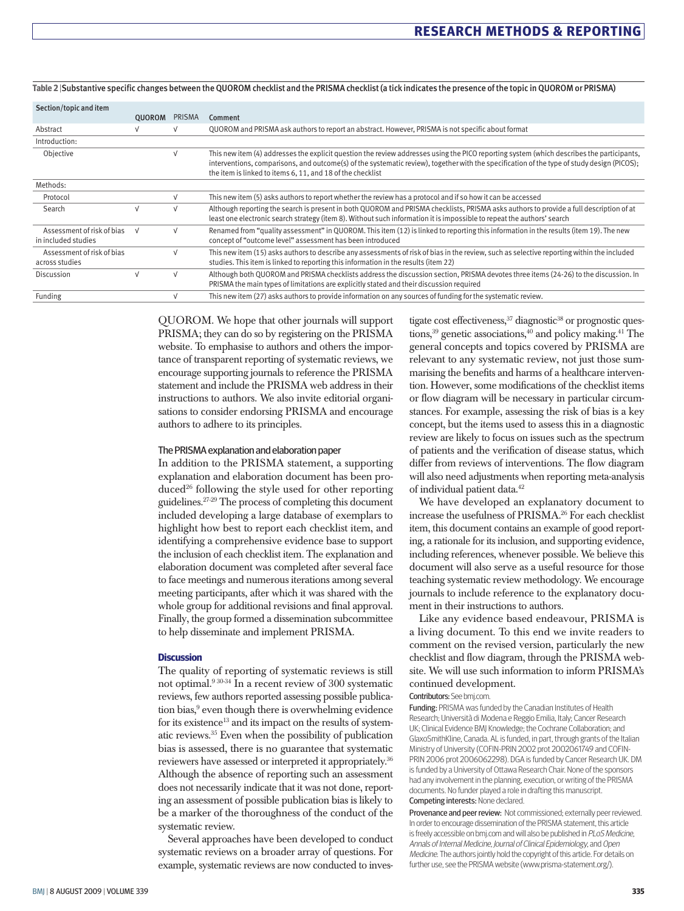| Section/topic and item                              |               |        |                                                                                                                                                                                                                                                                                                                                                       |
|-----------------------------------------------------|---------------|--------|-------------------------------------------------------------------------------------------------------------------------------------------------------------------------------------------------------------------------------------------------------------------------------------------------------------------------------------------------------|
|                                                     | <b>OUOROM</b> | PRISMA | Comment                                                                                                                                                                                                                                                                                                                                               |
| Abstract                                            |               |        | QUOROM and PRISMA ask authors to report an abstract. However, PRISMA is not specific about format                                                                                                                                                                                                                                                     |
| Introduction:                                       |               |        |                                                                                                                                                                                                                                                                                                                                                       |
| Objective                                           |               |        | This new item (4) addresses the explicit question the review addresses using the PICO reporting system (which describes the participants,<br>interventions, comparisons, and outcome(s) of the systematic review), together with the specification of the type of study design (PICOS);<br>the item is linked to items 6, 11, and 18 of the checklist |
| Methods:                                            |               |        |                                                                                                                                                                                                                                                                                                                                                       |
| Protocol                                            |               |        | This new item (5) asks authors to report whether the review has a protocol and if so how it can be accessed                                                                                                                                                                                                                                           |
| Search                                              | $\sqrt{ }$    |        | Although reporting the search is present in both QUOROM and PRISMA checklists, PRISMA asks authors to provide a full description of at<br>least one electronic search strategy (item 8). Without such information it is impossible to repeat the authors' search                                                                                      |
| Assessment of risk of bias V<br>in included studies |               |        | Renamed from "quality assessment" in QUOROM. This item (12) is linked to reporting this information in the results (item 19). The new<br>concept of "outcome level" assessment has been introduced                                                                                                                                                    |
| Assessment of risk of bias<br>across studies        |               |        | This new item (15) asks authors to describe any assessments of risk of bias in the review, such as selective reporting within the included<br>studies. This item is linked to reporting this information in the results (item 22)                                                                                                                     |
| Discussion                                          |               |        | Although both QUOROM and PRISMA checklists address the discussion section, PRISMA devotes three items (24-26) to the discussion. In<br>PRISMA the main types of limitations are explicitly stated and their discussion required                                                                                                                       |
| <b>Funding</b>                                      |               |        | This new item (27) asks authors to provide information on any sources of funding for the systematic review.                                                                                                                                                                                                                                           |

#### **Table 2** |Substantive specific changes between the QUOROM checklist and the PRISMA checklist (a tick indicates the presence of the topic in QUOROM or PRISMA)

QUOROM. We hope that other journals will support PRISMA; they can do so by registering on the PRISMA website. To emphasise to authors and others the importance of transparent reporting of systematic reviews, we encourage supporting journals to reference the PRISMA statement and include the PRISMA web address in their instructions to authors. We also invite editorial organisations to consider endorsing PRISMA and encourage authors to adhere to its principles.

#### The PRISMA explanation and elaboration paper

In addition to the PRISMA statement, a supporting explanation and elaboration document has been produced<sup>26</sup> following the style used for other reporting guidelines.27-29 The process of completing this document included developing a large database of exemplars to highlight how best to report each checklist item, and identifying a comprehensive evidence base to support the inclusion of each checklist item. The explanation and elaboration document was completed after several face to face meetings and numerous iterations among several meeting participants, after which it was shared with the whole group for additional revisions and final approval. Finally, the group formed a dissemination subcommittee to help disseminate and implement PRISMA.

#### **Discussion**

The quality of reporting of systematic reviews is still not optimal.9 30-34 In a recent review of 300 systematic reviews, few authors reported assessing possible publication bias,<sup>9</sup> even though there is overwhelming evidence for its existence<sup>13</sup> and its impact on the results of systematic reviews.35 Even when the possibility of publication bias is assessed, there is no guarantee that systematic reviewers have assessed or interpreted it appropriately.36 Although the absence of reporting such an assessment does not necessarily indicate that it was not done, reporting an assessment of possible publication bias is likely to be a marker of the thoroughness of the conduct of the systematic review.

Several approaches have been developed to conduct systematic reviews on a broader array of questions. For example, systematic reviews are now conducted to inves-

tigate cost effectiveness,  $37$  diagnostic $38$  or prognostic questions, $39$  genetic associations, $40$  and policy making. $41$  The general concepts and topics covered by PRISMA are relevant to any systematic review, not just those summarising the benefits and harms of a healthcare intervention. However, some modifications of the checklist items or flow diagram will be necessary in particular circumstances. For example, assessing the risk of bias is a key concept, but the items used to assess this in a diagnostic review are likely to focus on issues such as the spectrum of patients and the verification of disease status, which differ from reviews of interventions. The flow diagram will also need adjustments when reporting meta-analysis of individual patient data.42

We have developed an explanatory document to increase the usefulness of PRISMA.26 For each checklist item, this document contains an example of good reporting, a rationale for its inclusion, and supporting evidence, including references, whenever possible. We believe this document will also serve as a useful resource for those teaching systematic review methodology. We encourage journals to include reference to the explanatory document in their instructions to authors.

Like any evidence based endeavour, PRISMA is a living document. To this end we invite readers to comment on the revised version, particularly the new checklist and flow diagram, through the PRISMA website. We will use such information to inform PRISMA's continued development.

#### Contributors: See bmj.com.

Funding: PRISMA was funded by the Canadian Institutes of Health Research; Università di Modena e Reggio Emilia, Italy; Cancer Research UK; Clinical Evidence BMJ Knowledge; the Cochrane Collaboration; and GlaxoSmithKline, Canada. AL is funded, in part, through grants of the Italian Ministry of University (COFIN-PRIN 2002 prot 2002061749 and COFIN-PRIN 2006 prot 2006062298). DGA is funded by Cancer Research UK. DM is funded by a University of Ottawa Research Chair. None of the sponsors had any involvement in the planning, execution, or writing of the PRISMA documents. No funder played a role in drafting this manuscript. Competing interests: None declared.

Provenance and peer review: Not commissioned; externally peer reviewed. In order to encourage dissemination of the PRISMA statement, this article is freely accessible on bmj.com and will also be published in PLoS Medicine, Annals of Internal Medicine, Journal of Clinical Epidemiology, and Open Medicine. The authors jointly hold the copyright of this article. For details on further use, see the PRISMA website (www.prisma-statement.org/).